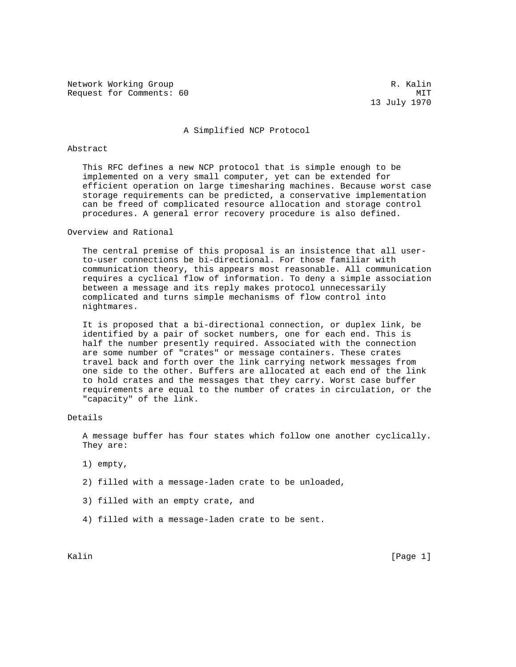Network Working Group and the set of the set of the set of the set of the set of the set of the set of the set of the set of the set of the set of the set of the set of the set of the set of the set of the set of the set o Request for Comments: 60 MIT

13 July 1970

## A Simplified NCP Protocol

## Abstract

 This RFC defines a new NCP protocol that is simple enough to be implemented on a very small computer, yet can be extended for efficient operation on large timesharing machines. Because worst case storage requirements can be predicted, a conservative implementation can be freed of complicated resource allocation and storage control procedures. A general error recovery procedure is also defined.

Overview and Rational

 The central premise of this proposal is an insistence that all user to-user connections be bi-directional. For those familiar with communication theory, this appears most reasonable. All communication requires a cyclical flow of information. To deny a simple association between a message and its reply makes protocol unnecessarily complicated and turns simple mechanisms of flow control into nightmares.

 It is proposed that a bi-directional connection, or duplex link, be identified by a pair of socket numbers, one for each end. This is half the number presently required. Associated with the connection are some number of "crates" or message containers. These crates travel back and forth over the link carrying network messages from one side to the other. Buffers are allocated at each end of the link to hold crates and the messages that they carry. Worst case buffer requirements are equal to the number of crates in circulation, or the "capacity" of the link.

Details

 A message buffer has four states which follow one another cyclically. They are:

- 1) empty,
- 2) filled with a message-laden crate to be unloaded,
- 3) filled with an empty crate, and
- 4) filled with a message-laden crate to be sent.

Kalin [Page 1] [Page 1] [Page 1] [Page 1] [Page 1] [Page 1] [Page 1] [Page 1] [Page 1] [Page 1] [Page 1] [Page 1] [Page 1] [Page 1] [Page 1] [Page 1] [Page 1] [Page 1] [Page 1] [Page 1] [Page 1] [Page 1] [Page 1] [Page 1]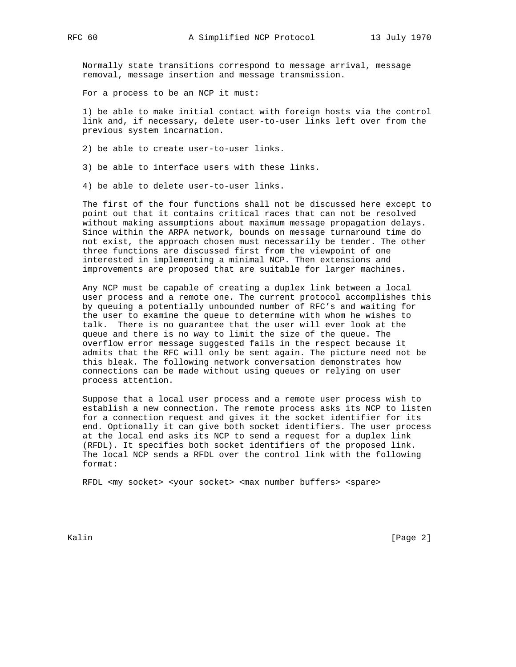Normally state transitions correspond to message arrival, message removal, message insertion and message transmission.

For a process to be an NCP it must:

 1) be able to make initial contact with foreign hosts via the control link and, if necessary, delete user-to-user links left over from the previous system incarnation.

2) be able to create user-to-user links.

3) be able to interface users with these links.

4) be able to delete user-to-user links.

 The first of the four functions shall not be discussed here except to point out that it contains critical races that can not be resolved without making assumptions about maximum message propagation delays. Since within the ARPA network, bounds on message turnaround time do not exist, the approach chosen must necessarily be tender. The other three functions are discussed first from the viewpoint of one interested in implementing a minimal NCP. Then extensions and improvements are proposed that are suitable for larger machines.

 Any NCP must be capable of creating a duplex link between a local user process and a remote one. The current protocol accomplishes this by queuing a potentially unbounded number of RFC's and waiting for the user to examine the queue to determine with whom he wishes to talk. There is no guarantee that the user will ever look at the queue and there is no way to limit the size of the queue. The overflow error message suggested fails in the respect because it admits that the RFC will only be sent again. The picture need not be this bleak. The following network conversation demonstrates how connections can be made without using queues or relying on user process attention.

 Suppose that a local user process and a remote user process wish to establish a new connection. The remote process asks its NCP to listen for a connection request and gives it the socket identifier for its end. Optionally it can give both socket identifiers. The user process at the local end asks its NCP to send a request for a duplex link (RFDL). It specifies both socket identifiers of the proposed link. The local NCP sends a RFDL over the control link with the following format:

RFDL <my socket> <your socket> <max number buffers> <spare>

Kalin [Page 2]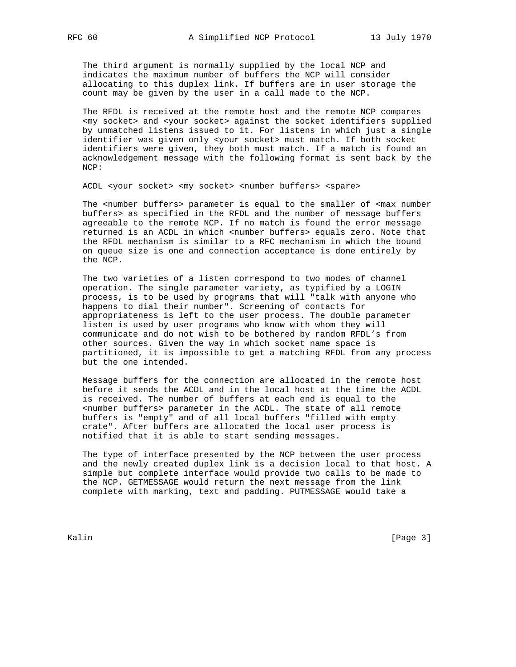The third argument is normally supplied by the local NCP and indicates the maximum number of buffers the NCP will consider allocating to this duplex link. If buffers are in user storage the count may be given by the user in a call made to the NCP.

 The RFDL is received at the remote host and the remote NCP compares <my socket> and <your socket> against the socket identifiers supplied by unmatched listens issued to it. For listens in which just a single identifier was given only <your socket> must match. If both socket identifiers were given, they both must match. If a match is found an acknowledgement message with the following format is sent back by the NCP:

ACDL <your socket> <my socket> <number buffers> <spare>

The <number buffers> parameter is equal to the smaller of <max number buffers> as specified in the RFDL and the number of message buffers agreeable to the remote NCP. If no match is found the error message returned is an ACDL in which <number buffers> equals zero. Note that the RFDL mechanism is similar to a RFC mechanism in which the bound on queue size is one and connection acceptance is done entirely by the NCP.

 The two varieties of a listen correspond to two modes of channel operation. The single parameter variety, as typified by a LOGIN process, is to be used by programs that will "talk with anyone who happens to dial their number". Screening of contacts for appropriateness is left to the user process. The double parameter listen is used by user programs who know with whom they will communicate and do not wish to be bothered by random RFDL's from other sources. Given the way in which socket name space is partitioned, it is impossible to get a matching RFDL from any process but the one intended.

 Message buffers for the connection are allocated in the remote host before it sends the ACDL and in the local host at the time the ACDL is received. The number of buffers at each end is equal to the <number buffers> parameter in the ACDL. The state of all remote buffers is "empty" and of all local buffers "filled with empty crate". After buffers are allocated the local user process is notified that it is able to start sending messages.

 The type of interface presented by the NCP between the user process and the newly created duplex link is a decision local to that host. A simple but complete interface would provide two calls to be made to the NCP. GETMESSAGE would return the next message from the link complete with marking, text and padding. PUTMESSAGE would take a

Kalin [Page 3]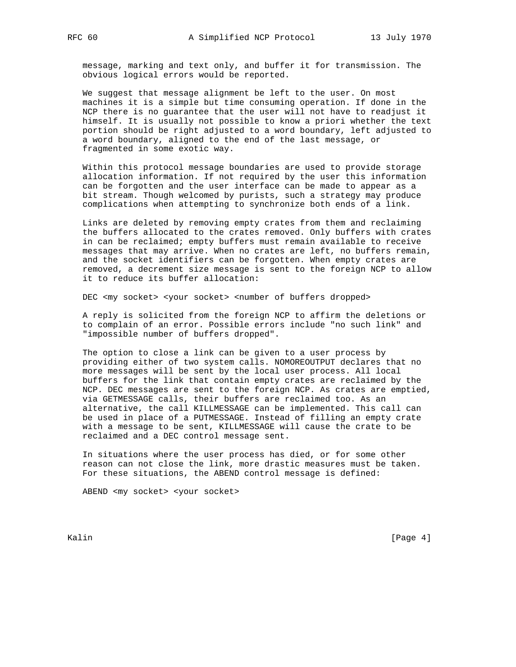message, marking and text only, and buffer it for transmission. The obvious logical errors would be reported.

 We suggest that message alignment be left to the user. On most machines it is a simple but time consuming operation. If done in the NCP there is no guarantee that the user will not have to readjust it himself. It is usually not possible to know a priori whether the text portion should be right adjusted to a word boundary, left adjusted to a word boundary, aligned to the end of the last message, or fragmented in some exotic way.

 Within this protocol message boundaries are used to provide storage allocation information. If not required by the user this information can be forgotten and the user interface can be made to appear as a bit stream. Though welcomed by purists, such a strategy may produce complications when attempting to synchronize both ends of a link.

 Links are deleted by removing empty crates from them and reclaiming the buffers allocated to the crates removed. Only buffers with crates in can be reclaimed; empty buffers must remain available to receive messages that may arrive. When no crates are left, no buffers remain, and the socket identifiers can be forgotten. When empty crates are removed, a decrement size message is sent to the foreign NCP to allow it to reduce its buffer allocation:

DEC <my socket> <your socket> <number of buffers dropped>

 A reply is solicited from the foreign NCP to affirm the deletions or to complain of an error. Possible errors include "no such link" and "impossible number of buffers dropped".

 The option to close a link can be given to a user process by providing either of two system calls. NOMOREOUTPUT declares that no more messages will be sent by the local user process. All local buffers for the link that contain empty crates are reclaimed by the NCP. DEC messages are sent to the foreign NCP. As crates are emptied, via GETMESSAGE calls, their buffers are reclaimed too. As an alternative, the call KILLMESSAGE can be implemented. This call can be used in place of a PUTMESSAGE. Instead of filling an empty crate with a message to be sent, KILLMESSAGE will cause the crate to be reclaimed and a DEC control message sent.

 In situations where the user process has died, or for some other reason can not close the link, more drastic measures must be taken. For these situations, the ABEND control message is defined:

ABEND <my socket> <your socket>

Kalin [Page 4]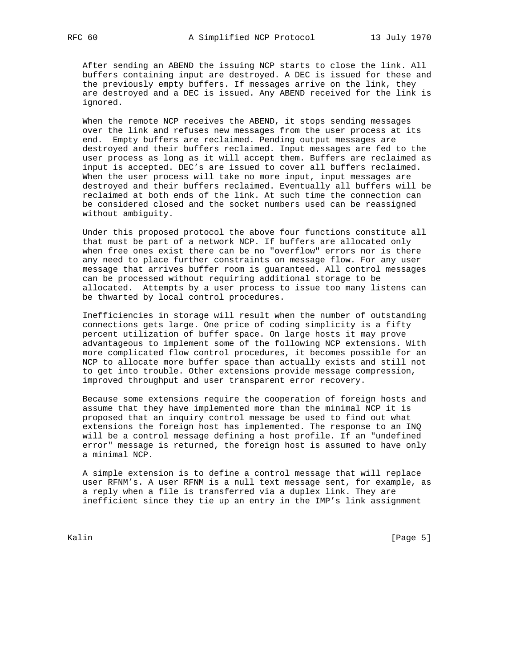After sending an ABEND the issuing NCP starts to close the link. All buffers containing input are destroyed. A DEC is issued for these and the previously empty buffers. If messages arrive on the link, they are destroyed and a DEC is issued. Any ABEND received for the link is ignored.

 When the remote NCP receives the ABEND, it stops sending messages over the link and refuses new messages from the user process at its end. Empty buffers are reclaimed. Pending output messages are destroyed and their buffers reclaimed. Input messages are fed to the user process as long as it will accept them. Buffers are reclaimed as input is accepted. DEC's are issued to cover all buffers reclaimed. When the user process will take no more input, input messages are destroyed and their buffers reclaimed. Eventually all buffers will be reclaimed at both ends of the link. At such time the connection can be considered closed and the socket numbers used can be reassigned without ambiguity.

 Under this proposed protocol the above four functions constitute all that must be part of a network NCP. If buffers are allocated only when free ones exist there can be no "overflow" errors nor is there any need to place further constraints on message flow. For any user message that arrives buffer room is guaranteed. All control messages can be processed without requiring additional storage to be allocated. Attempts by a user process to issue too many listens can be thwarted by local control procedures.

 Inefficiencies in storage will result when the number of outstanding connections gets large. One price of coding simplicity is a fifty percent utilization of buffer space. On large hosts it may prove advantageous to implement some of the following NCP extensions. With more complicated flow control procedures, it becomes possible for an NCP to allocate more buffer space than actually exists and still not to get into trouble. Other extensions provide message compression, improved throughput and user transparent error recovery.

 Because some extensions require the cooperation of foreign hosts and assume that they have implemented more than the minimal NCP it is proposed that an inquiry control message be used to find out what extensions the foreign host has implemented. The response to an INQ will be a control message defining a host profile. If an "undefined error" message is returned, the foreign host is assumed to have only a minimal NCP.

 A simple extension is to define a control message that will replace user RFNM's. A user RFNM is a null text message sent, for example, as a reply when a file is transferred via a duplex link. They are inefficient since they tie up an entry in the IMP's link assignment

Kalin [Page 5]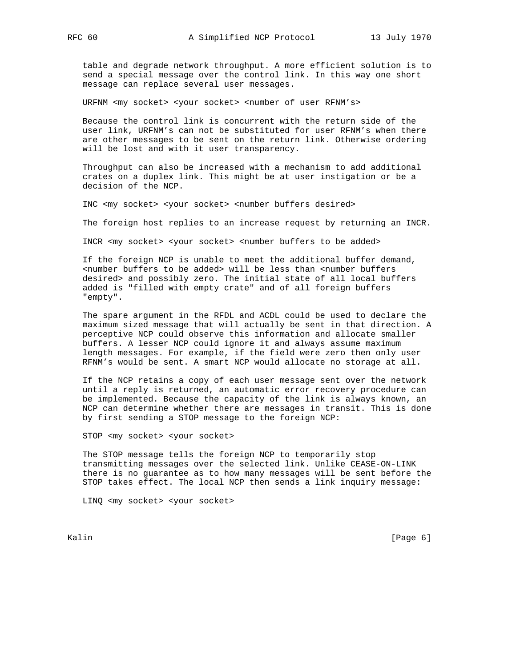table and degrade network throughput. A more efficient solution is to send a special message over the control link. In this way one short message can replace several user messages.

URFNM <my socket> <your socket> <number of user RFNM's>

 Because the control link is concurrent with the return side of the user link, URFNM's can not be substituted for user RFNM's when there are other messages to be sent on the return link. Otherwise ordering will be lost and with it user transparency.

 Throughput can also be increased with a mechanism to add additional crates on a duplex link. This might be at user instigation or be a decision of the NCP.

INC <my socket> <your socket> <number buffers desired>

The foreign host replies to an increase request by returning an INCR.

INCR <my socket> <your socket> <number buffers to be added>

 If the foreign NCP is unable to meet the additional buffer demand, <number buffers to be added> will be less than <number buffers desired> and possibly zero. The initial state of all local buffers added is "filled with empty crate" and of all foreign buffers "empty".

 The spare argument in the RFDL and ACDL could be used to declare the maximum sized message that will actually be sent in that direction. A perceptive NCP could observe this information and allocate smaller buffers. A lesser NCP could ignore it and always assume maximum length messages. For example, if the field were zero then only user RFNM's would be sent. A smart NCP would allocate no storage at all.

 If the NCP retains a copy of each user message sent over the network until a reply is returned, an automatic error recovery procedure can be implemented. Because the capacity of the link is always known, an NCP can determine whether there are messages in transit. This is done by first sending a STOP message to the foreign NCP:

STOP <my socket> <your socket>

 The STOP message tells the foreign NCP to temporarily stop transmitting messages over the selected link. Unlike CEASE-ON-LINK there is no guarantee as to how many messages will be sent before the STOP takes effect. The local NCP then sends a link inquiry message:

LINQ <my socket> <your socket>

Kalin [Page 6]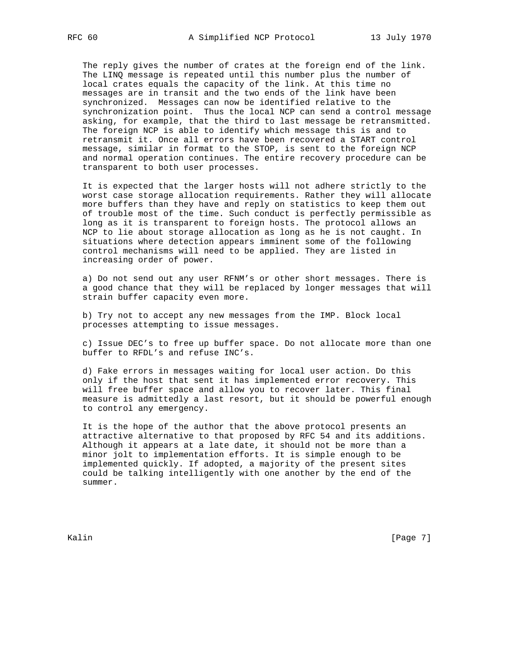The reply gives the number of crates at the foreign end of the link. The LINQ message is repeated until this number plus the number of local crates equals the capacity of the link. At this time no messages are in transit and the two ends of the link have been synchronized. Messages can now be identified relative to the synchronization point. Thus the local NCP can send a control message asking, for example, that the third to last message be retransmitted. The foreign NCP is able to identify which message this is and to retransmit it. Once all errors have been recovered a START control message, similar in format to the STOP, is sent to the foreign NCP and normal operation continues. The entire recovery procedure can be transparent to both user processes.

 It is expected that the larger hosts will not adhere strictly to the worst case storage allocation requirements. Rather they will allocate more buffers than they have and reply on statistics to keep them out of trouble most of the time. Such conduct is perfectly permissible as long as it is transparent to foreign hosts. The protocol allows an NCP to lie about storage allocation as long as he is not caught. In situations where detection appears imminent some of the following control mechanisms will need to be applied. They are listed in increasing order of power.

 a) Do not send out any user RFNM's or other short messages. There is a good chance that they will be replaced by longer messages that will strain buffer capacity even more.

 b) Try not to accept any new messages from the IMP. Block local processes attempting to issue messages.

 c) Issue DEC's to free up buffer space. Do not allocate more than one buffer to RFDL's and refuse INC's.

 d) Fake errors in messages waiting for local user action. Do this only if the host that sent it has implemented error recovery. This will free buffer space and allow you to recover later. This final measure is admittedly a last resort, but it should be powerful enough to control any emergency.

 It is the hope of the author that the above protocol presents an attractive alternative to that proposed by RFC 54 and its additions. Although it appears at a late date, it should not be more than a minor jolt to implementation efforts. It is simple enough to be implemented quickly. If adopted, a majority of the present sites could be talking intelligently with one another by the end of the summer.

Kalin [Page 7]